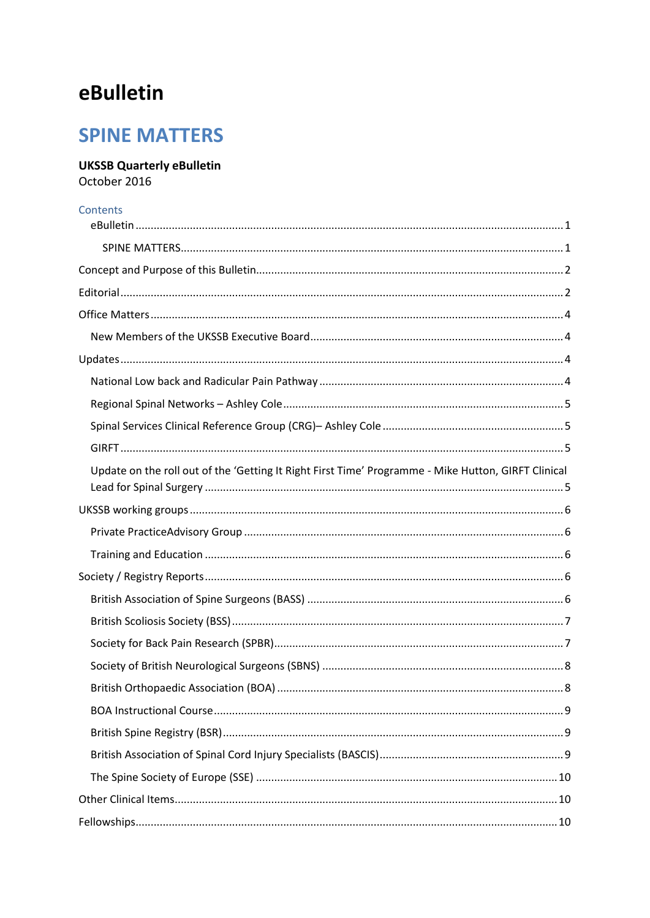## <span id="page-0-0"></span>eBulletin

### <span id="page-0-1"></span>**SPINE MATTERS**

### **UKSSB Quarterly eBulletin**

October 2016

#### Contents

| Update on the roll out of the 'Getting It Right First Time' Programme - Mike Hutton, GIRFT Clinical |  |
|-----------------------------------------------------------------------------------------------------|--|
|                                                                                                     |  |
|                                                                                                     |  |
|                                                                                                     |  |
|                                                                                                     |  |
|                                                                                                     |  |
|                                                                                                     |  |
|                                                                                                     |  |
|                                                                                                     |  |
|                                                                                                     |  |
|                                                                                                     |  |
|                                                                                                     |  |
|                                                                                                     |  |
|                                                                                                     |  |
|                                                                                                     |  |
|                                                                                                     |  |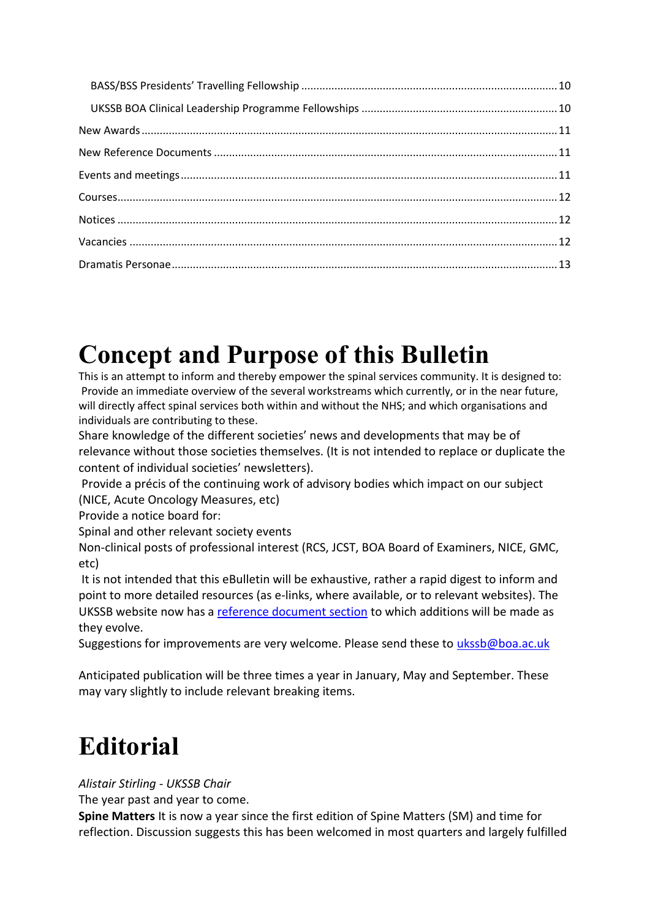## <span id="page-1-0"></span>**Concept and Purpose of this Bulletin**

This is an attempt to inform and thereby empower the spinal services community. It is designed to: Provide an immediate overview of the several workstreams which currently, or in the near future, will directly affect spinal services both within and without the NHS; and which organisations and individuals are contributing to these.

Share knowledge of the different societies' news and developments that may be of relevance without those societies themselves. (It is not intended to replace or duplicate the content of individual societies' newsletters).

Provide a précis of the continuing work of advisory bodies which impact on our subject (NICE, Acute Oncology Measures, etc)

Provide a notice board for:

Spinal and other relevant society events

Non-clinical posts of professional interest (RCS, JCST, BOA Board of Examiners, NICE, GMC, etc)

It is not intended that this eBulletin will be exhaustive, rather a rapid digest to inform and point to more detailed resources (as e-links, where available, or to relevant websites). The UKSSB website now has a [reference document section](http://www.ukssb.com/pages/Reference-Documents/Reference-Documents.html) to which additions will be made as they evolve.

Suggestions for improvements are very welcome. Please send these to [ukssb@boa.ac.uk](mailto:ukssb@boa.ac.uk)

Anticipated publication will be three times a year in January, May and September. These may vary slightly to include relevant breaking items.

# <span id="page-1-1"></span>**Editorial**

*Alistair Stirling - UKSSB Chair*

The year past and year to come.

**Spine Matters** It is now a year since the first edition of Spine Matters (SM) and time for reflection. Discussion suggests this has been welcomed in most quarters and largely fulfilled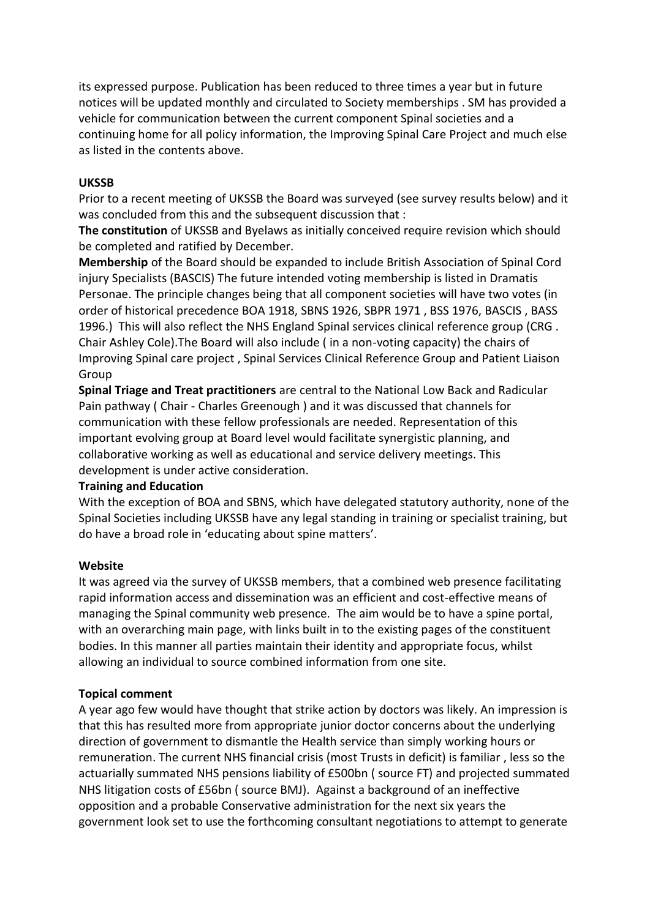its expressed purpose. Publication has been reduced to three times a year but in future notices will be updated monthly and circulated to Society memberships . SM has provided a vehicle for communication between the current component Spinal societies and a continuing home for all policy information, the Improving Spinal Care Project and much else as listed in the contents above.

#### **UKSSB**

Prior to a recent meeting of UKSSB the Board was surveyed (see survey results below) and it was concluded from this and the subsequent discussion that :

**The constitution** of UKSSB and Byelaws as initially conceived require revision which should be completed and ratified by December.

**Membership** of the Board should be expanded to include British Association of Spinal Cord injury Specialists (BASCIS) The future intended voting membership is listed in Dramatis Personae. The principle changes being that all component societies will have two votes (in order of historical precedence BOA 1918, SBNS 1926, SBPR 1971 , BSS 1976, BASCIS , BASS 1996.) This will also reflect the NHS England Spinal services clinical reference group (CRG . Chair Ashley Cole).The Board will also include ( in a non-voting capacity) the chairs of Improving Spinal care project , Spinal Services Clinical Reference Group and Patient Liaison Group

**Spinal Triage and Treat practitioners** are central to the National Low Back and Radicular Pain pathway ( Chair - Charles Greenough ) and it was discussed that channels for communication with these fellow professionals are needed. Representation of this important evolving group at Board level would facilitate synergistic planning, and collaborative working as well as educational and service delivery meetings. This development is under active consideration.

#### **Training and Education**

With the exception of BOA and SBNS, which have delegated statutory authority, none of the Spinal Societies including UKSSB have any legal standing in training or specialist training, but do have a broad role in 'educating about spine matters'.

#### **Website**

It was agreed via the survey of UKSSB members, that a combined web presence facilitating rapid information access and dissemination was an efficient and cost-effective means of managing the Spinal community web presence. The aim would be to have a spine portal, with an overarching main page, with links built in to the existing pages of the constituent bodies. In this manner all parties maintain their identity and appropriate focus, whilst allowing an individual to source combined information from one site.

#### **Topical comment**

A year ago few would have thought that strike action by doctors was likely. An impression is that this has resulted more from appropriate junior doctor concerns about the underlying direction of government to dismantle the Health service than simply working hours or remuneration. The current NHS financial crisis (most Trusts in deficit) is familiar , less so the actuarially summated NHS pensions liability of £500bn ( source FT) and projected summated NHS litigation costs of £56bn ( source BMJ). Against a background of an ineffective opposition and a probable Conservative administration for the next six years the government look set to use the forthcoming consultant negotiations to attempt to generate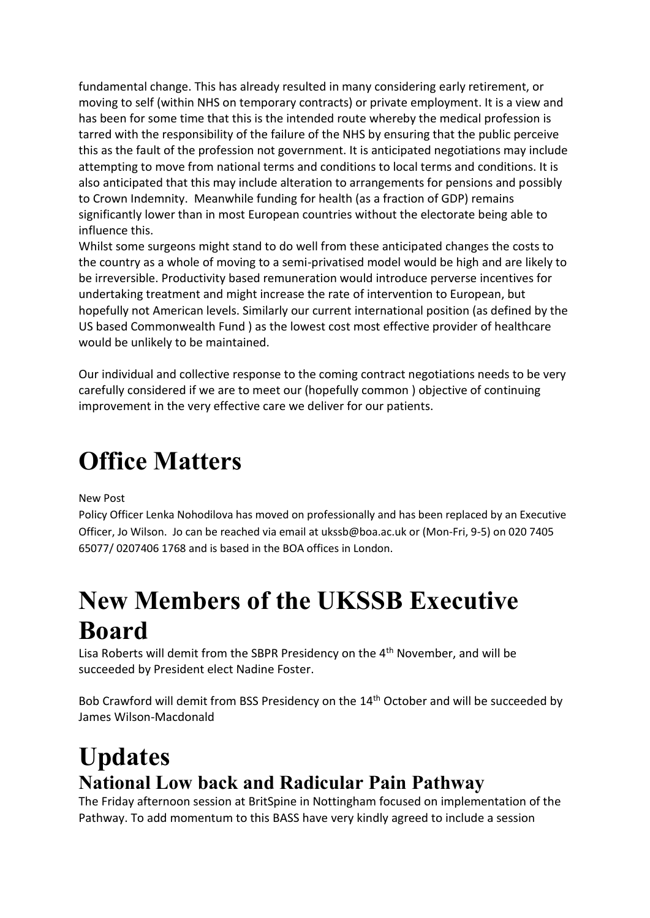fundamental change. This has already resulted in many considering early retirement, or moving to self (within NHS on temporary contracts) or private employment. It is a view and has been for some time that this is the intended route whereby the medical profession is tarred with the responsibility of the failure of the NHS by ensuring that the public perceive this as the fault of the profession not government. It is anticipated negotiations may include attempting to move from national terms and conditions to local terms and conditions. It is also anticipated that this may include alteration to arrangements for pensions and possibly to Crown Indemnity. Meanwhile funding for health (as a fraction of GDP) remains significantly lower than in most European countries without the electorate being able to influence this.

Whilst some surgeons might stand to do well from these anticipated changes the costs to the country as a whole of moving to a semi-privatised model would be high and are likely to be irreversible. Productivity based remuneration would introduce perverse incentives for undertaking treatment and might increase the rate of intervention to European, but hopefully not American levels. Similarly our current international position (as defined by the US based Commonwealth Fund ) as the lowest cost most effective provider of healthcare would be unlikely to be maintained.

Our individual and collective response to the coming contract negotiations needs to be very carefully considered if we are to meet our (hopefully common ) objective of continuing improvement in the very effective care we deliver for our patients.

## <span id="page-3-0"></span>**Office Matters**

New Post

Policy Officer Lenka Nohodilova has moved on professionally and has been replaced by an Executive Officer, Jo Wilson. Jo can be reached via email at ukssb@boa.ac.uk or (Mon-Fri, 9-5) on 020 7405 65077/ 0207406 1768 and is based in the BOA offices in London.

## <span id="page-3-1"></span>**New Members of the UKSSB Executive Board**

Lisa Roberts will demit from the SBPR Presidency on the 4<sup>th</sup> November, and will be succeeded by President elect Nadine Foster.

Bob Crawford will demit from BSS Presidency on the 14<sup>th</sup> October and will be succeeded by James Wilson-Macdonald

## <span id="page-3-2"></span>**Updates National Low back and Radicular Pain Pathway**

<span id="page-3-3"></span>The Friday afternoon session at BritSpine in Nottingham focused on implementation of the Pathway. To add momentum to this BASS have very kindly agreed to include a session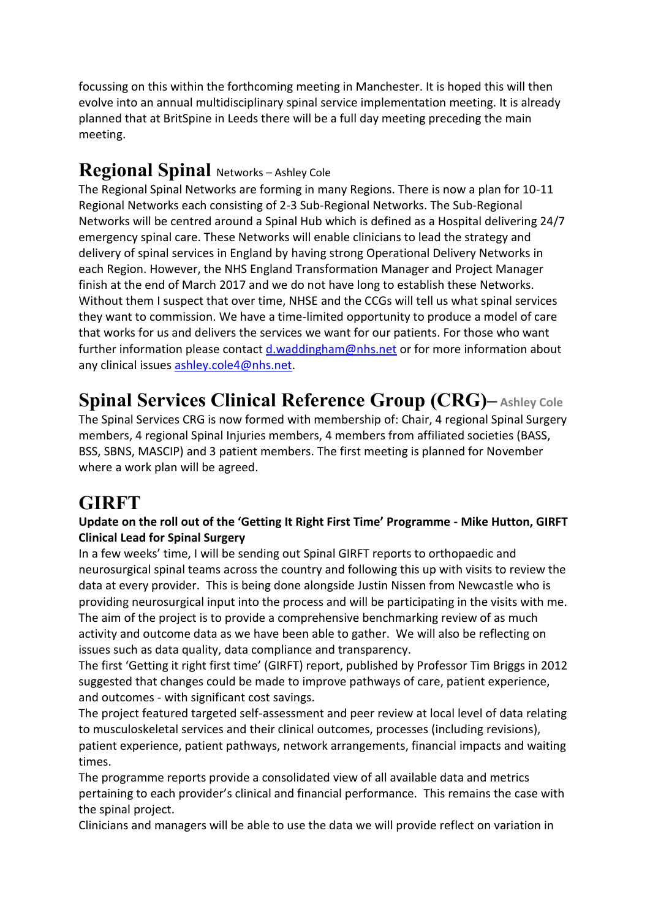focussing on this within the forthcoming meeting in Manchester. It is hoped this will then evolve into an annual multidisciplinary spinal service implementation meeting. It is already planned that at BritSpine in Leeds there will be a full day meeting preceding the main meeting.

### <span id="page-4-0"></span>**Regional Spinal** Networks – Ashley Cole

The Regional Spinal Networks are forming in many Regions. There is now a plan for 10-11 Regional Networks each consisting of 2-3 Sub-Regional Networks. The Sub-Regional Networks will be centred around a Spinal Hub which is defined as a Hospital delivering 24/7 emergency spinal care. These Networks will enable clinicians to lead the strategy and delivery of spinal services in England by having strong Operational Delivery Networks in each Region. However, the NHS England Transformation Manager and Project Manager finish at the end of March 2017 and we do not have long to establish these Networks. Without them I suspect that over time, NHSE and the CCGs will tell us what spinal services they want to commission. We have a time-limited opportunity to produce a model of care that works for us and delivers the services we want for our patients. For those who want further information please contact [d.waddingham@nhs.net](mailto:d.waddingham@nhs.net) or for more information about any clinical issues [ashley.cole4@nhs.net.](mailto:ashley.cole4@nhs.net)

## <span id="page-4-1"></span>**Spinal Services Clinical Reference Group (CRG)– Ashley Cole**

The Spinal Services CRG is now formed with membership of: Chair, 4 regional Spinal Surgery members, 4 regional Spinal Injuries members, 4 members from affiliated societies (BASS, BSS, SBNS, MASCIP) and 3 patient members. The first meeting is planned for November where a work plan will be agreed.

## <span id="page-4-2"></span>**GIRFT**

#### <span id="page-4-3"></span>**Update on the roll out of the 'Getting It Right First Time' Programme - Mike Hutton, GIRFT Clinical Lead for Spinal Surgery**

In a few weeks' time, I will be sending out Spinal GIRFT reports to orthopaedic and neurosurgical spinal teams across the country and following this up with visits to review the data at every provider. This is being done alongside Justin Nissen from Newcastle who is providing neurosurgical input into the process and will be participating in the visits with me. The aim of the project is to provide a comprehensive benchmarking review of as much activity and outcome data as we have been able to gather. We will also be reflecting on issues such as data quality, data compliance and transparency.

The first 'Getting it right first time' (GIRFT) report, published by Professor Tim Briggs in 2012 suggested that changes could be made to improve pathways of care, patient experience, and outcomes - with significant cost savings.

The project featured targeted self-assessment and peer review at local level of data relating to musculoskeletal services and their clinical outcomes, processes (including revisions), patient experience, patient pathways, network arrangements, financial impacts and waiting times.

The programme reports provide a consolidated view of all available data and metrics pertaining to each provider's clinical and financial performance. This remains the case with the spinal project.

Clinicians and managers will be able to use the data we will provide reflect on variation in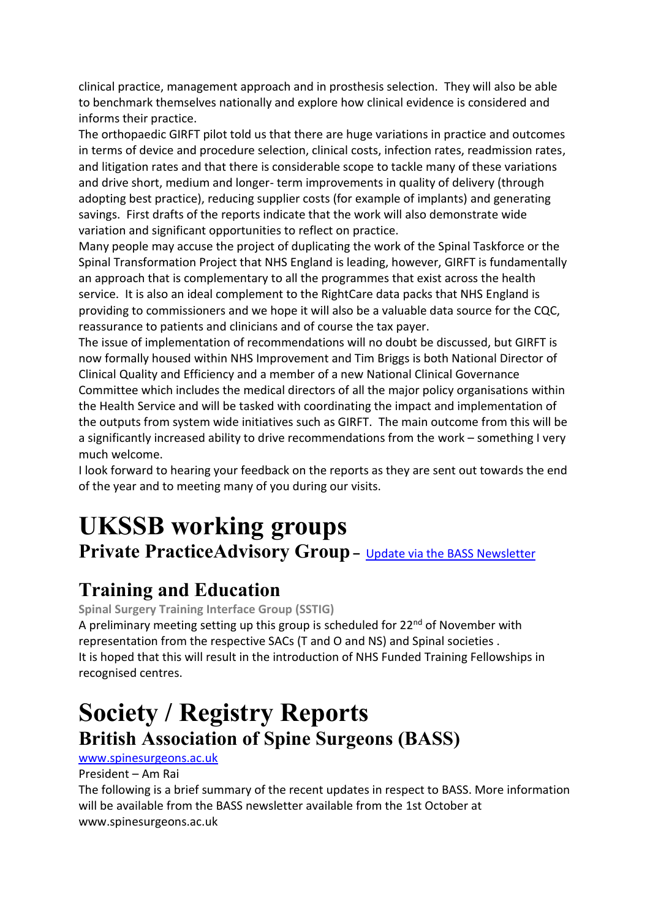clinical practice, management approach and in prosthesis selection. They will also be able to benchmark themselves nationally and explore how clinical evidence is considered and informs their practice.

The orthopaedic GIRFT pilot told us that there are huge variations in practice and outcomes in terms of device and procedure selection, clinical costs, infection rates, readmission rates, and litigation rates and that there is considerable scope to tackle many of these variations and drive short, medium and longer- term improvements in quality of delivery (through adopting best practice), reducing supplier costs (for example of implants) and generating savings. First drafts of the reports indicate that the work will also demonstrate wide variation and significant opportunities to reflect on practice.

Many people may accuse the project of duplicating the work of the Spinal Taskforce or the Spinal Transformation Project that NHS England is leading, however, GIRFT is fundamentally an approach that is complementary to all the programmes that exist across the health service. It is also an ideal complement to the RightCare data packs that NHS England is providing to commissioners and we hope it will also be a valuable data source for the CQC, reassurance to patients and clinicians and of course the tax payer.

The issue of implementation of recommendations will no doubt be discussed, but GIRFT is now formally housed within NHS Improvement and Tim Briggs is both National Director of Clinical Quality and Efficiency and a member of a new National Clinical Governance Committee which includes the medical directors of all the major policy organisations within the Health Service and will be tasked with coordinating the impact and implementation of the outputs from system wide initiatives such as GIRFT. The main outcome from this will be a significantly increased ability to drive recommendations from the work – something I very much welcome.

I look forward to hearing your feedback on the reports as they are sent out towards the end of the year and to meeting many of you during our visits.

# <span id="page-5-0"></span>**UKSSB working groups**

<span id="page-5-1"></span>**Private PracticeAdvisory Group -** [Update via the BASS Newsletter](http://www.spinesurgeons.ac.uk/data/documents/BASS-newsletter-October-2016.pdf)

### <span id="page-5-2"></span>**Training and Education**

**Spinal Surgery Training Interface Group (SSTIG)**

A preliminary meeting setting up this group is scheduled for  $22^{nd}$  of November with representation from the respective SACs (T and O and NS) and Spinal societies . It is hoped that this will result in the introduction of NHS Funded Training Fellowships in recognised centres.

## <span id="page-5-3"></span>**Society / Registry Reports British Association of Spine Surgeons (BASS)**

#### <span id="page-5-4"></span>[www.spinesurgeons.ac.uk](http://www.spinesurgeons.ac.uk/)

President – Am Rai

The following is a brief summary of the recent updates in respect to BASS. More information will be available from the BASS newsletter available from the 1st October at www.spinesurgeons.ac.uk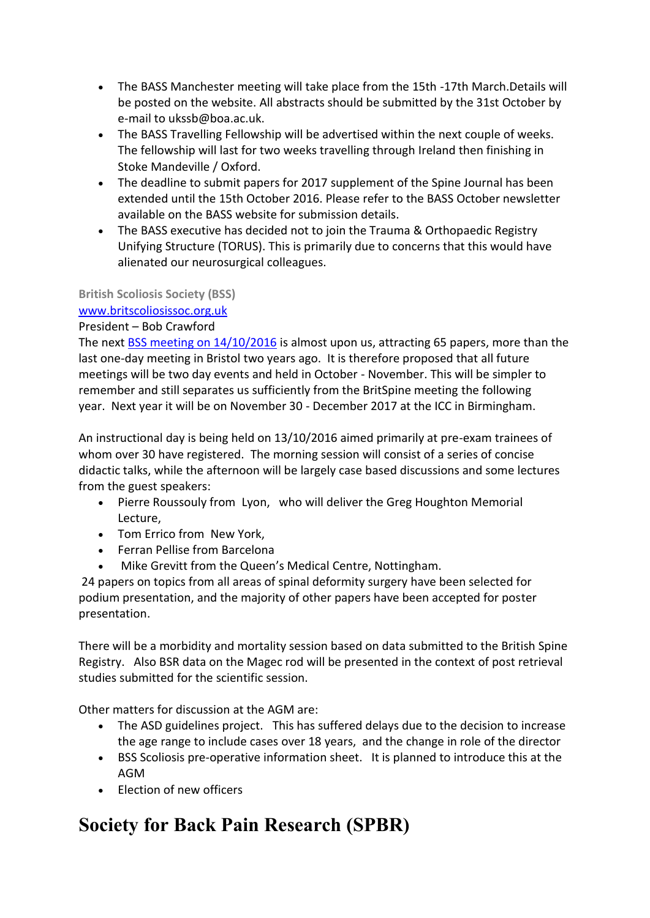- The BASS Manchester meeting will take place from the 15th -17th March.Details will be posted on the website. All abstracts should be submitted by the 31st October by e-mail to ukssb@boa.ac.uk.
- The BASS Travelling Fellowship will be advertised within the next couple of weeks. The fellowship will last for two weeks travelling through Ireland then finishing in Stoke Mandeville / Oxford.
- The deadline to submit papers for 2017 supplement of the Spine Journal has been extended until the 15th October 2016. Please refer to the BASS October newsletter available on the BASS website for submission details.
- The BASS executive has decided not to join the Trauma & Orthopaedic Registry Unifying Structure (TORUS). This is primarily due to concerns that this would have alienated our neurosurgical colleagues.

#### <span id="page-6-0"></span>**British Scoliosis Society (BSS)**

#### [www.britscoliosissoc.org.uk](http://www.britscoliosissoc.org.uk/)

#### President – Bob Crawford

The next [BSS meeting on 14/10/2016](https://www.southteeslri.co.uk/bss-annual-meeting) is almost upon us, attracting 65 papers, more than the last one-day meeting in Bristol two years ago. It is therefore proposed that all future meetings will be two day events and held in October - November. This will be simpler to remember and still separates us sufficiently from the BritSpine meeting the following year. Next year it will be on November 30 - December 2017 at the ICC in Birmingham.

An instructional day is being held on 13/10/2016 aimed primarily at pre-exam trainees of whom over 30 have registered. The morning session will consist of a series of concise didactic talks, while the afternoon will be largely case based discussions and some lectures from the guest speakers:

- Pierre Roussouly from Lyon, who will deliver the Greg Houghton Memorial Lecture,
- Tom Errico from New York,
- Ferran Pellise from Barcelona
- Mike Grevitt from the Queen's Medical Centre, Nottingham.

24 papers on topics from all areas of spinal deformity surgery have been selected for podium presentation, and the majority of other papers have been accepted for poster presentation.

There will be a morbidity and mortality session based on data submitted to the British Spine Registry. Also BSR data on the Magec rod will be presented in the context of post retrieval studies submitted for the scientific session.

Other matters for discussion at the AGM are:

- The ASD guidelines project. This has suffered delays due to the decision to increase the age range to include cases over 18 years, and the change in role of the director
- BSS Scoliosis pre-operative information sheet. It is planned to introduce this at the AGM
- Election of new officers

## <span id="page-6-1"></span>**Society for Back Pain Research (SPBR)**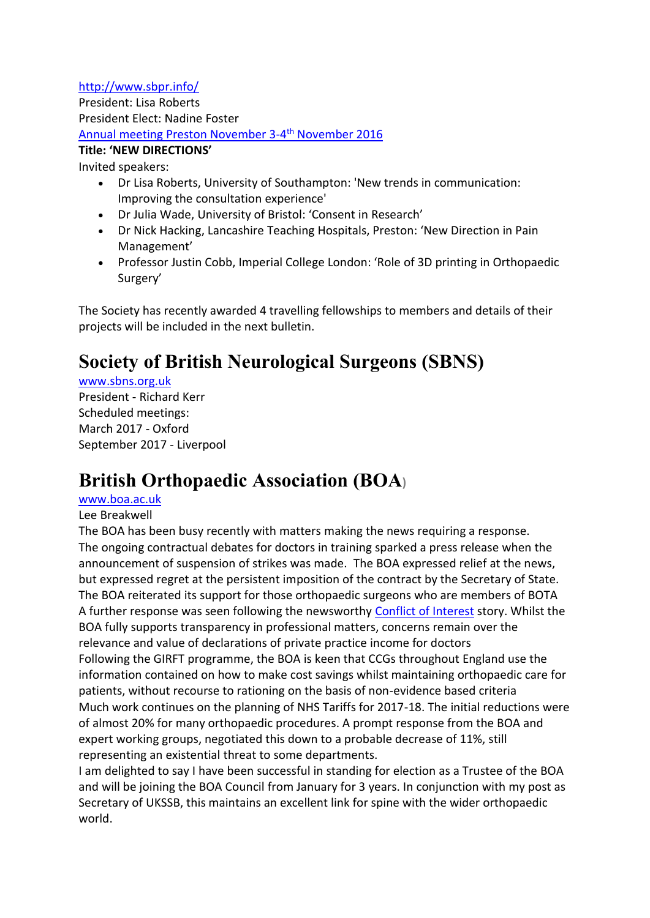<http://www.sbpr.info/>

President: Lisa Roberts President Elect: Nadine Foster [Annual meeting Preston November 3-4](http://www.sbpr.info/meetings/sbpr-2016-preston)<sup>th</sup> November 2016 **Title: 'NEW DIRECTIONS'** 

Invited speakers:

- Dr Lisa Roberts, University of Southampton: 'New trends in communication: Improving the consultation experience'
- Dr Julia Wade, University of Bristol: 'Consent in Research'
- Dr Nick Hacking, Lancashire Teaching Hospitals, Preston: 'New Direction in Pain Management'
- Professor Justin Cobb, Imperial College London: 'Role of 3D printing in Orthopaedic Surgery'

The Society has recently awarded 4 travelling fellowships to members and details of their projects will be included in the next bulletin.

## <span id="page-7-0"></span>**Society of British Neurological Surgeons (SBNS)**

#### [www.sbns.org.uk](http://www.sbns.org.uk/)

President - Richard Kerr Scheduled meetings: March 2017 - Oxford September 2017 - Liverpool

### <span id="page-7-1"></span>**British Orthopaedic Association (BOA)**

#### [www.boa.ac.uk](http://www.boa.ac.uk/)

#### Lee Breakwell

The BOA has been busy recently with matters making the news requiring a response. The ongoing contractual debates for doctors in training sparked a press release when the announcement of suspension of strikes was made. The BOA expressed relief at the news, but expressed regret at the persistent imposition of the contract by the Secretary of State. The BOA reiterated its support for those orthopaedic surgeons who are members of BOTA A further response was seen following the newsworthy [Conflict of Interest](http://www.boa.ac.uk/latest-news/boa-statement-nhs-england-consultation-managing-conflicts-of-interest-in-the-nhs/) story. Whilst the BOA fully supports transparency in professional matters, concerns remain over the relevance and value of declarations of private practice income for doctors Following the GIRFT programme, the BOA is keen that CCGs throughout England use the information contained on how to make cost savings whilst maintaining orthopaedic care for patients, without recourse to rationing on the basis of non-evidence based criteria Much work continues on the planning of NHS Tariffs for 2017-18. The initial reductions were of almost 20% for many orthopaedic procedures. A prompt response from the BOA and expert working groups, negotiated this down to a probable decrease of 11%, still representing an existential threat to some departments.

I am delighted to say I have been successful in standing for election as a Trustee of the BOA and will be joining the BOA Council from January for 3 years. In conjunction with my post as Secretary of UKSSB, this maintains an excellent link for spine with the wider orthopaedic world.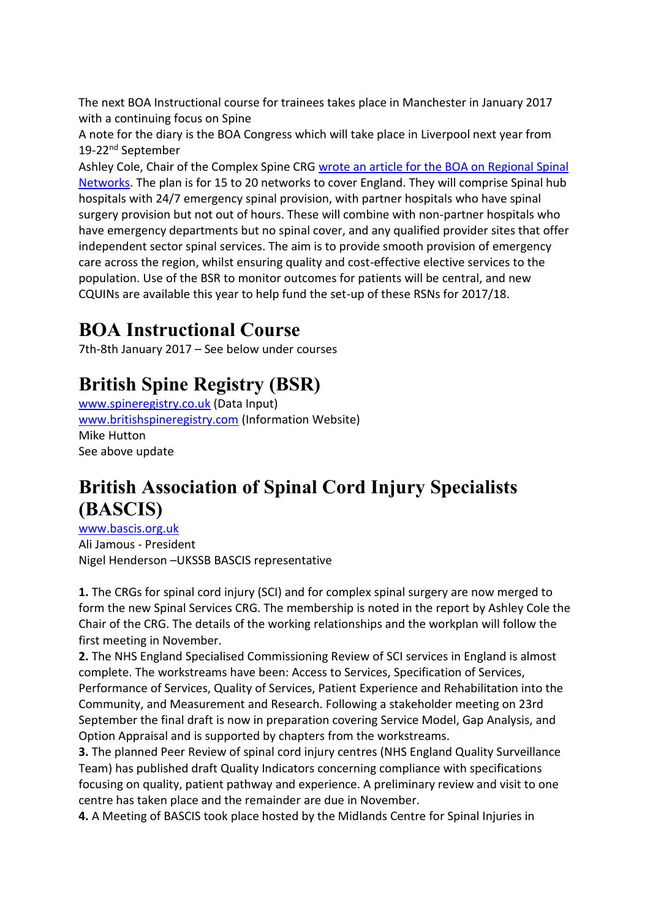The next BOA Instructional course for trainees takes place in Manchester in January 2017 with a continuing focus on Spine

A note for the diary is the BOA Congress which will take place in Liverpool next year from 19-22<sup>nd</sup> September

Ashley Cole, Chair of the Complex Spine CRG [wrote an article for the BOA on Regional Spinal](http://www.boa.ac.uk/publications/jto-vol-4-issue-3/)  [Networks.](http://www.boa.ac.uk/publications/jto-vol-4-issue-3/) The plan is for 15 to 20 networks to cover England. They will comprise Spinal hub hospitals with 24/7 emergency spinal provision, with partner hospitals who have spinal surgery provision but not out of hours. These will combine with non-partner hospitals who have emergency departments but no spinal cover, and any qualified provider sites that offer independent sector spinal services. The aim is to provide smooth provision of emergency care across the region, whilst ensuring quality and cost-effective elective services to the population. Use of the BSR to monitor outcomes for patients will be central, and new CQUINs are available this year to help fund the set-up of these RSNs for 2017/18.

### <span id="page-8-0"></span>**BOA Instructional Course**

7th-8th January 2017 – See below under courses

## <span id="page-8-1"></span>**British Spine Registry (BSR)**

[www.spineregistry.co.uk](http://www.spineregistry.co.uk/) (Data Input) [www.britishspineregistry.com](http://www.britishspineregistry.com/) (Information Website) Mike Hutton See above update

### <span id="page-8-2"></span>**British Association of Spinal Cord Injury Specialists (BASCIS)**

[www.bascis.org.uk](http://www.bascis.org.uk/) Ali Jamous - President Nigel Henderson –UKSSB BASCIS representative

**1.** The CRGs for spinal cord injury (SCI) and for complex spinal surgery are now merged to form the new Spinal Services CRG. The membership is noted in the report by Ashley Cole the Chair of the CRG. The details of the working relationships and the workplan will follow the first meeting in November.

**2.** The NHS England Specialised Commissioning Review of SCI services in England is almost complete. The workstreams have been: Access to Services, Specification of Services, Performance of Services, Quality of Services, Patient Experience and Rehabilitation into the Community, and Measurement and Research. Following a stakeholder meeting on 23rd September the final draft is now in preparation covering Service Model, Gap Analysis, and Option Appraisal and is supported by chapters from the workstreams.

**3.** The planned Peer Review of spinal cord injury centres (NHS England Quality Surveillance Team) has published draft Quality Indicators concerning compliance with specifications focusing on quality, patient pathway and experience. A preliminary review and visit to one centre has taken place and the remainder are due in November.

**4.** A Meeting of BASCIS took place hosted by the Midlands Centre for Spinal Injuries in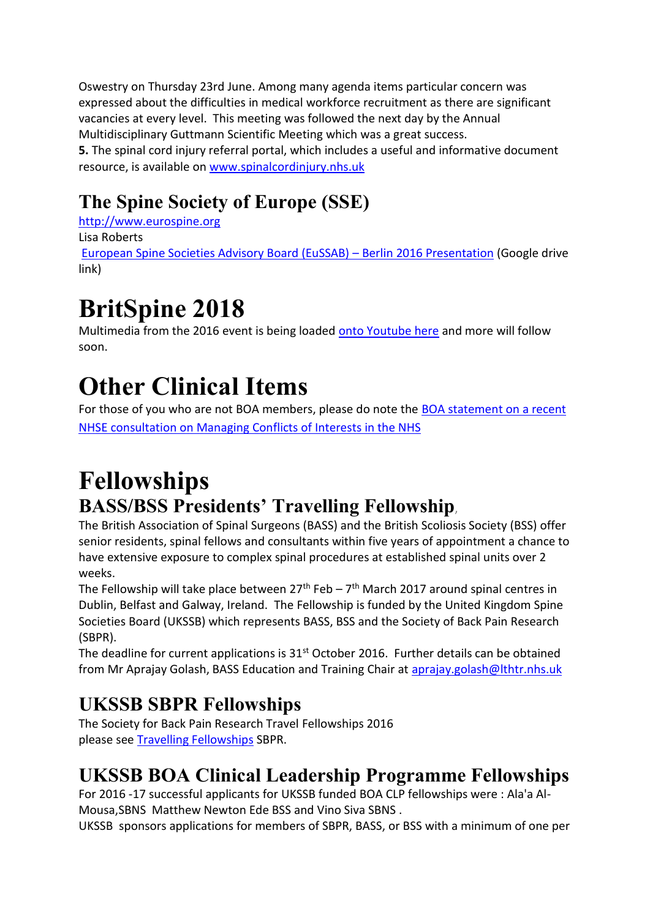Oswestry on Thursday 23rd June. Among many agenda items particular concern was expressed about the difficulties in medical workforce recruitment as there are significant vacancies at every level. This meeting was followed the next day by the Annual Multidisciplinary Guttmann Scientific Meeting which was a great success. **5.** The spinal cord injury referral portal, which includes a useful and informative document resource, is available on [www.spinalcordinjury.nhs.uk](http://www.spinalcordinjury.nhs.uk/)

## <span id="page-9-0"></span>**The Spine Society of Europe (SSE)**

[http://www.eurospine.org](http://www.eurospine.org/) Lisa Roberts [European Spine Societies Advisory Board \(EuSSAB\)](https://drive.google.com/open?id=0B8PJtq-RAV4VQ0FDUUs1d2FuYUE) – Berlin 2016 Presentation (Google drive link)

# **BritSpine 2018**

Multimedia from the 2016 event is being loaded [onto Youtube here](https://www.youtube.com/channel/UCSOxjptAvnZruyL1mlWemoQ) and more will follow soon.

## <span id="page-9-1"></span>**Other Clinical Items**

For those of you who are not BOA members, please do note the [BOA statement on a recent](http://www.boa.ac.uk/latest-news/boa-statement-nhs-england-consultation-managing-conflicts-of-interest-in-the-nhs/)  [NHSE consultation on Managing Conflicts of Interests in the NHS](http://www.boa.ac.uk/latest-news/boa-statement-nhs-england-consultation-managing-conflicts-of-interest-in-the-nhs/)

## <span id="page-9-2"></span>**Fellowships BASS/BSS Presidents' [Travelling Fellowship](http://www.britscoliosissoc.org.uk/data/documents/Fellowship%202016%20Presidents)**,

<span id="page-9-3"></span>The British Association of Spinal Surgeons (BASS) and the British Scoliosis Society (BSS) offer senior residents, spinal fellows and consultants within five years of appointment a chance to have extensive exposure to complex spinal procedures at established spinal units over 2 weeks.

The Fellowship will take place between  $27<sup>th</sup>$  Feb –  $7<sup>th</sup>$  March 2017 around spinal centres in Dublin, Belfast and Galway, Ireland. The Fellowship is funded by the United Kingdom Spine Societies Board (UKSSB) which represents BASS, BSS and the Society of Back Pain Research (SBPR).

The deadline for current applications is 31<sup>st</sup> October 2016. Further details can be obtained from Mr Aprajay Golash, BASS Education and Training Chair at [aprajay.golash@lthtr.nhs.uk](mailto:aprajay.golash@lthtr.nhs.uk)

## **UKSSB SBPR Fellowships**

The Society for Back Pain Research Travel Fellowships 2016 please see [Travelling Fellowships](http://www.sbpr.info/news/2014/12/03/sbpr-travel-fellowships-2016-closing-date-extende) SBPR.

## <span id="page-9-4"></span>**UKSSB BOA Clinical Leadership Programme Fellowships**

For 2016 -17 successful applicants for UKSSB funded BOA CLP fellowships were : Ala'a Al-Mousa,SBNS Matthew Newton Ede BSS and Vino Siva SBNS .

UKSSB sponsors applications for members of SBPR, BASS, or BSS with a minimum of one per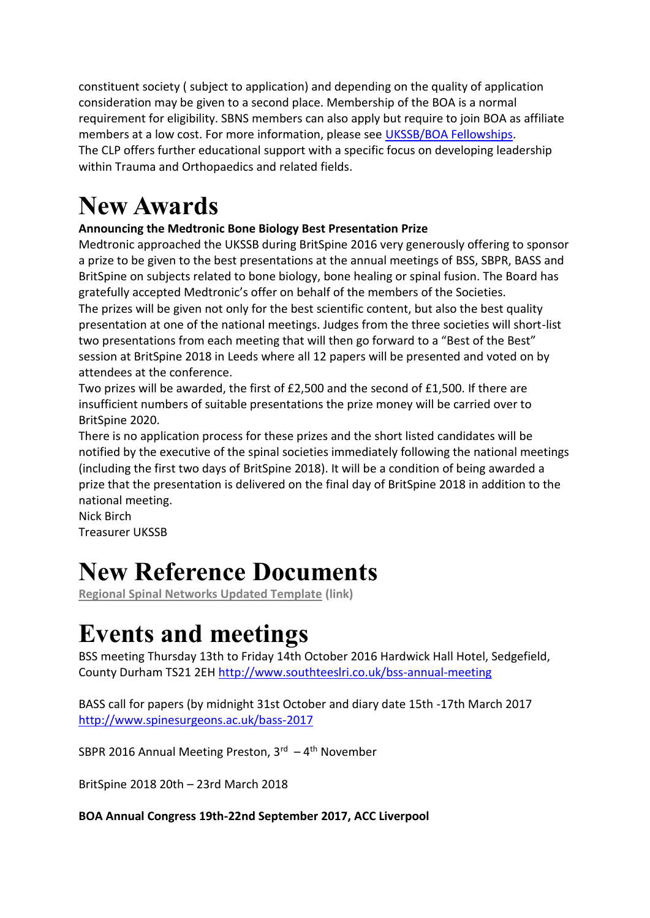constituent society ( subject to application) and depending on the quality of application consideration may be given to a second place. Membership of the BOA is a normal requirement for eligibility. SBNS members can also apply but require to join BOA as affiliate members at a low cost. For more information, please see [UKSSB/BOA Fellowships.](http://www.ukssb.com/pages/Fellowships.html) The CLP offers further educational support with a specific focus on developing leadership within Trauma and Orthopaedics and related fields.

## <span id="page-10-0"></span>**New Awards**

### **Announcing the Medtronic Bone Biology Best Presentation Prize**

Medtronic approached the UKSSB during BritSpine 2016 very generously offering to sponsor a prize to be given to the best presentations at the annual meetings of BSS, SBPR, BASS and BritSpine on subjects related to bone biology, bone healing or spinal fusion. The Board has gratefully accepted Medtronic's offer on behalf of the members of the Societies. The prizes will be given not only for the best scientific content, but also the best quality presentation at one of the national meetings. Judges from the three societies will short-list two presentations from each meeting that will then go forward to a "Best of the Best" session at BritSpine 2018 in Leeds where all 12 papers will be presented and voted on by attendees at the conference.

Two prizes will be awarded, the first of £2,500 and the second of £1,500. If there are insufficient numbers of suitable presentations the prize money will be carried over to BritSpine 2020.

There is no application process for these prizes and the short listed candidates will be notified by the executive of the spinal societies immediately following the national meetings (including the first two days of BritSpine 2018). It will be a condition of being awarded a prize that the presentation is delivered on the final day of BritSpine 2018 in addition to the national meeting.

Nick Birch Treasurer UKSSB

## <span id="page-10-1"></span>**New Reference Documents**

**[Regional Spinal Networks Updated Template](http://www.ukssb.com/pages/Improving-Spinal-Care-Project/Regional%20Spinal%20Networks.html) (link)**

## <span id="page-10-2"></span>**Events and meetings**

BSS meeting Thursday 13th to Friday 14th October 2016 Hardwick Hall Hotel, Sedgefield, County Durham TS21 2EH<http://www.southteeslri.co.uk/bss-annual-meeting>

BASS call for papers (by midnight 31st October and diary date 15th -17th March 2017 <http://www.spinesurgeons.ac.uk/bass-2017>

SBPR 2016 Annual Meeting Preston, 3<sup>rd</sup> - 4<sup>th</sup> November

BritSpine 2018 20th – 23rd March 2018

#### **BOA Annual Congress 19th-22nd September 2017, ACC Liverpool**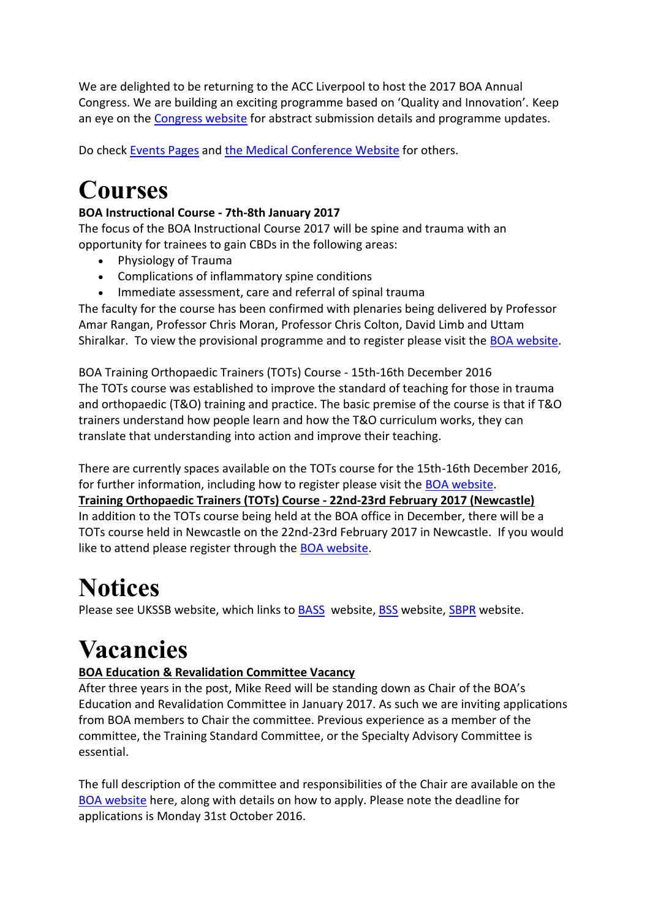We are delighted to be returning to the ACC Liverpool to host the 2017 BOA Annual Congress. We are building an exciting programme based on 'Quality and Innovation'. Keep an eye on the [Congress website](http://boa.us4.list-manage.com/track/click?u=2242b78af1af1962af0ac2da8&id=55f060d2d7&e=de0509896c) for abstract submission details and programme updates.

Do check [Events Pages](http://www.ukssb.com/pages/Events/Meetings/UK-National-Spinal.html) and [the Medical Conference Website](http://www.medical.theconferencewebsite.com/search/?search=spine) for others.

# <span id="page-11-0"></span>**Courses**

### **BOA Instructional Course - 7th-8th January 2017**

The focus of the BOA Instructional Course 2017 will be spine and trauma with an opportunity for trainees to gain CBDs in the following areas:

- Physiology of Trauma
- Complications of inflammatory spine conditions
- Immediate assessment, care and referral of spinal trauma

The faculty for the course has been confirmed with plenaries being delivered by Professor Amar Rangan, Professor Chris Moran, Professor Chris Colton, David Limb and Uttam Shiralkar. To view the provisional programme and to register please visit the [BOA website.](http://boa.us4.list-manage.com/track/click?u=2242b78af1af1962af0ac2da8&id=1989b5efe1&e=de0509896c)

BOA Training Orthopaedic Trainers (TOTs) Course - 15th-16th December 2016 The TOTs course was established to improve the standard of teaching for those in trauma and orthopaedic (T&O) training and practice. The basic premise of the course is that if T&O trainers understand how people learn and how the T&O curriculum works, they can translate that understanding into action and improve their teaching.

There are currently spaces available on the TOTs course for the 15th-16th December 2016, for further information, including how to register please visit the [BOA website.](http://boa.us4.list-manage.com/track/click?u=2242b78af1af1962af0ac2da8&id=3883f5e78e&e=de0509896c) **Training Orthopaedic Trainers (TOTs) Course - 22nd-23rd February 2017 (Newcastle)** In addition to the TOTs course being held at the BOA office in December, there will be a TOTs course held in Newcastle on the 22nd-23rd February 2017 in Newcastle. If you would like to attend please register through the [BOA website.](http://boa.us4.list-manage1.com/track/click?u=2242b78af1af1962af0ac2da8&id=63246ea907&e=de0509896c)

## <span id="page-11-1"></span>**Notices**

Please see UKSSB website, which links to **BASS** website, **BSS** website, **SBPR** website.

# <span id="page-11-2"></span>**Vacancies**

### **BOA Education & Revalidation Committee Vacancy**

After three years in the post, Mike Reed will be standing down as Chair of the BOA's Education and Revalidation Committee in January 2017. As such we are inviting applications from BOA members to Chair the committee. Previous experience as a member of the committee, the Training Standard Committee, or the Specialty Advisory Committee is essential.

The full description of the committee and responsibilities of the Chair are available on the [BOA website](http://boa.us4.list-manage.com/track/click?u=2242b78af1af1962af0ac2da8&id=592e1c29fc&e=de0509896c) here, along with details on how to apply. Please note the deadline for applications is Monday 31st October 2016.